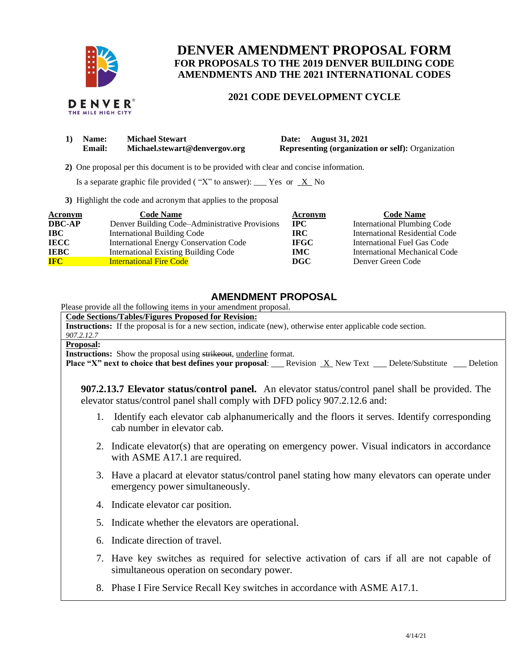

# **DENVER AMENDMENT PROPOSAL FORM FOR PROPOSALS TO THE 2019 DENVER BUILDING CODE AMENDMENTS AND THE 2021 INTERNATIONAL CODES**

### **2021 CODE DEVELOPMENT CYCLE**

|  | DENVER®            |  |
|--|--------------------|--|
|  | THE MILE HIGH CITY |  |

| 1) | <b>Name:</b>  | <b>Michael Stewart</b>        | Date: August 31, 2021                                    |
|----|---------------|-------------------------------|----------------------------------------------------------|
|    | <b>Email:</b> | Michael.stewart@denvergov.org | <b>Representing (organization or self): Organization</b> |

 **2)** One proposal per this document is to be provided with clear and concise information.

Is a separate graphic file provided ("X" to answer): \_\_\_ Yes or  $X$  No

**3)** Highlight the code and acronym that applies to the proposal

| Acronym       | <b>Code Name</b>                               | Acronym     | <b>Code Name</b>               |
|---------------|------------------------------------------------|-------------|--------------------------------|
| <b>DBC-AP</b> | Denver Building Code–Administrative Provisions | $\bf IPC$   | International Plumbing Code    |
| <b>IBC</b>    | <b>International Building Code</b>             | <b>IRC</b>  | International Residential Code |
| <b>IECC</b>   | International Energy Conservation Code         | <b>IFGC</b> | International Fuel Gas Code    |
| <b>IEBC</b>   | <b>International Existing Building Code</b>    | <b>IMC</b>  | International Mechanical Code  |
| <b>IFC</b>    | <b>International Fire Code</b>                 | DGC         | Denver Green Code              |

## **AMENDMENT PROPOSAL**

Please provide all the following items in your amendment proposal.

**Code Sections/Tables/Figures Proposed for Revision:**

**Instructions:** If the proposal is for a new section, indicate (new), otherwise enter applicable code section.

*907.2.12.7* **Proposal:**

**Instructions:** Show the proposal using strikeout, underline format.

**Place "X" next to choice that best defines your proposal:** Revision X New Text Delete/Substitute Deletion

**907.2.13.7 Elevator status/control panel.** An elevator status/control panel shall be provided. The elevator status/control panel shall comply with DFD policy 907.2.12.6 and:

- 1. Identify each elevator cab alphanumerically and the floors it serves. Identify corresponding cab number in elevator cab.
- 2. Indicate elevator(s) that are operating on emergency power. Visual indicators in accordance with ASME A17.1 are required.
- 3. Have a placard at elevator status/control panel stating how many elevators can operate under emergency power simultaneously.
- 4. Indicate elevator car position.
- 5. Indicate whether the elevators are operational.
- 6. Indicate direction of travel.
- 7. Have key switches as required for selective activation of cars if all are not capable of simultaneous operation on secondary power.
- 8. Phase I Fire Service Recall Key switches in accordance with ASME A17.1.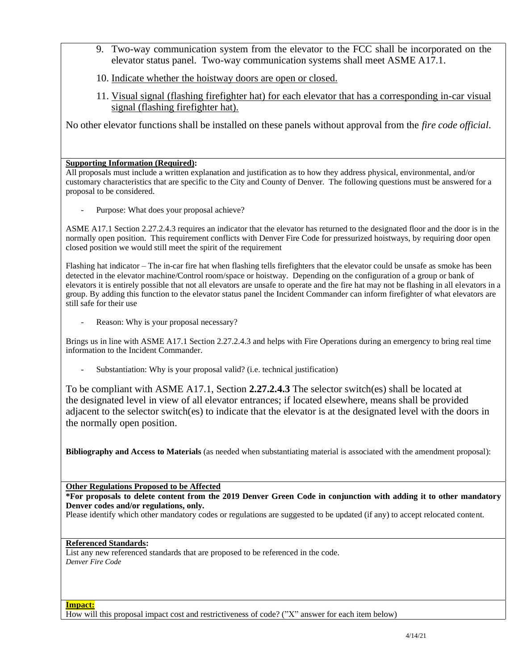- 9. Two-way communication system from the elevator to the FCC shall be incorporated on the elevator status panel. Two-way communication systems shall meet ASME A17.1.
- 10. Indicate whether the hoistway doors are open or closed.
- 11. Visual signal (flashing firefighter hat) for each elevator that has a corresponding in-car visual signal (flashing firefighter hat).

No other elevator functions shall be installed on these panels without approval from the *fire code official*.

### **Supporting Information (Required):**

All proposals must include a written explanation and justification as to how they address physical, environmental, and/or customary characteristics that are specific to the City and County of Denver. The following questions must be answered for a proposal to be considered.

Purpose: What does your proposal achieve?

ASME A17.1 Section 2.27.2.4.3 requires an indicator that the elevator has returned to the designated floor and the door is in the normally open position. This requirement conflicts with Denver Fire Code for pressurized hoistways, by requiring door open closed position we would still meet the spirit of the requirement

Flashing hat indicator – The in-car fire hat when flashing tells firefighters that the elevator could be unsafe as smoke has been detected in the elevator machine/Control room/space or hoistway. Depending on the configuration of a group or bank of elevators it is entirely possible that not all elevators are unsafe to operate and the fire hat may not be flashing in all elevators in a group. By adding this function to the elevator status panel the Incident Commander can inform firefighter of what elevators are still safe for their use

Reason: Why is your proposal necessary?

Brings us in line with ASME A17.1 Section 2.27.2.4.3 and helps with Fire Operations during an emergency to bring real time information to the Incident Commander.

Substantiation: Why is your proposal valid? (i.e. technical justification)

To be compliant with ASME A17.1, Section **2.27.2.4.3** The selector switch(es) shall be located at the designated level in view of all elevator entrances; if located elsewhere, means shall be provided adjacent to the selector switch(es) to indicate that the elevator is at the designated level with the doors in the normally open position.

**Bibliography and Access to Materials** (as needed when substantiating material is associated with the amendment proposal):

**Other Regulations Proposed to be Affected**

**\*For proposals to delete content from the 2019 Denver Green Code in conjunction with adding it to other mandatory Denver codes and/or regulations, only.**

Please identify which other mandatory codes or regulations are suggested to be updated (if any) to accept relocated content.

#### **Referenced Standards:**

List any new referenced standards that are proposed to be referenced in the code. *Denver Fire Code*

How will this proposal impact cost and restrictiveness of code? ("X" answer for each item below)